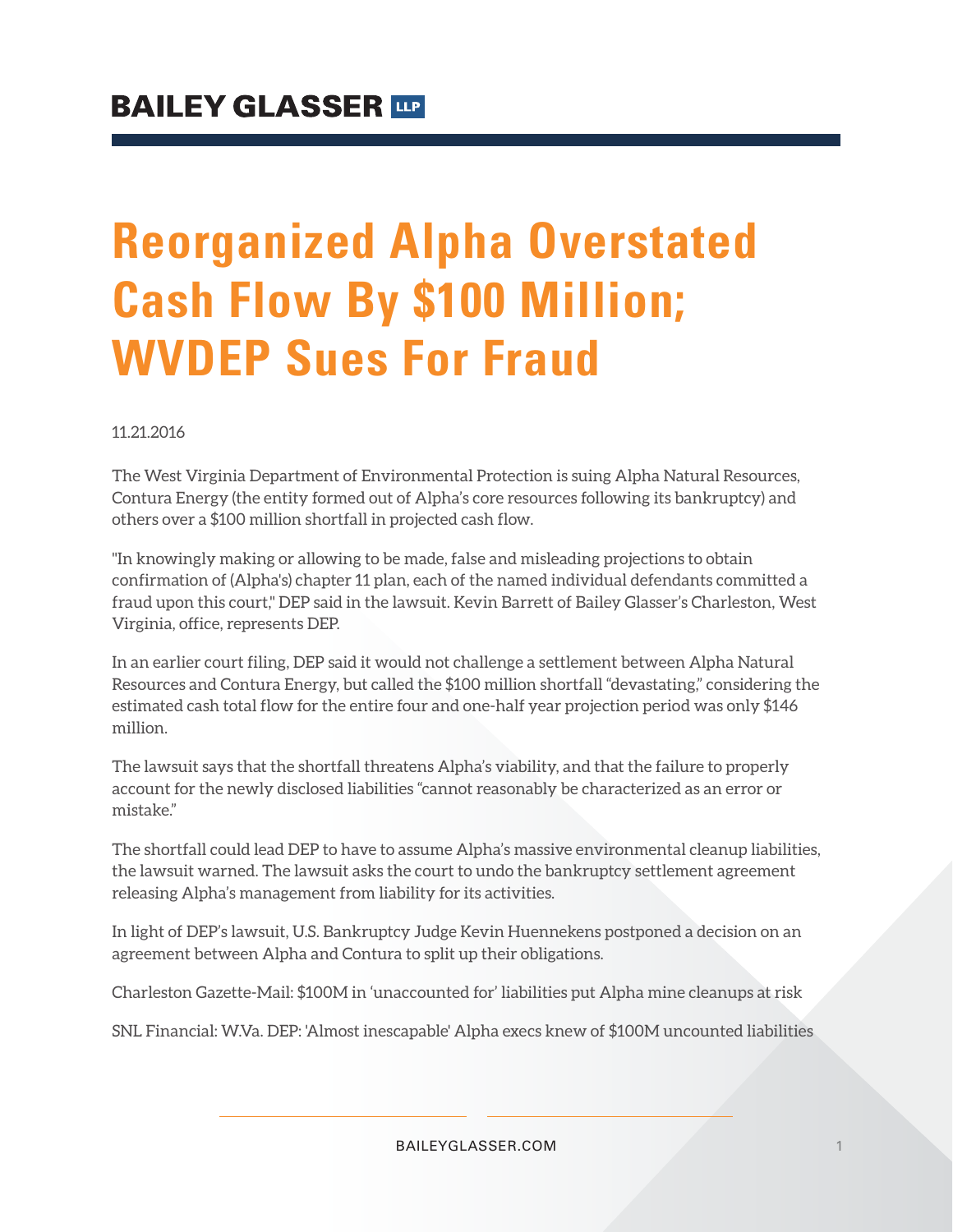## **Reorganized Alpha Overstated Cash Flow By \$100 Million; WVDEP Sues For Fraud**

11.21.2016

The West Virginia Department of Environmental Protection is suing Alpha Natural Resources, Contura Energy (the entity formed out of Alpha's core resources following its bankruptcy) and others over a \$100 million shortfall in projected cash flow.

"In knowingly making or allowing to be made, false and misleading projections to obtain confirmation of (Alpha's) chapter 11 plan, each of the named individual defendants committed a fraud upon this court," DEP said in the lawsuit. Kevin Barrett of Bailey Glasser's Charleston, West Virginia, office, represents DEP.

In an earlier court filing, DEP said it would not challenge a settlement between Alpha Natural Resources and Contura Energy, but called the \$100 million shortfall "devastating," considering the estimated cash total flow for the entire four and one-half year projection period was only \$146 million.

The lawsuit says that the shortfall threatens Alpha's viability, and that the failure to properly account for the newly disclosed liabilities "cannot reasonably be characterized as an error or mistake."

The shortfall could lead DEP to have to assume Alpha's massive environmental cleanup liabilities, the lawsuit warned. The lawsuit asks the court to undo the bankruptcy settlement agreement releasing Alpha's management from liability for its activities.

In light of DEP's lawsuit, U.S. Bankruptcy Judge Kevin Huennekens postponed a decision on an agreement between Alpha and Contura to split up their obligations.

Charleston Gazette-Mail: \$100M in 'unaccounted for' liabilities put Alpha mine cleanups at risk

SNL Financial: W.Va. DEP: 'Almost inescapable' Alpha execs knew of \$100M uncounted liabilities